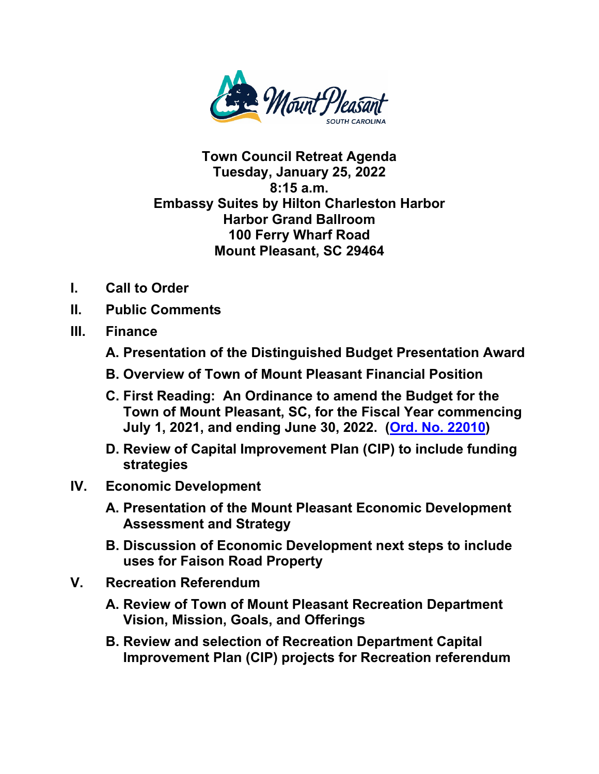

## **Town Council Retreat Agenda Tuesday, January 25, 2022 8:15 a.m. Embassy Suites by Hilton Charleston Harbor Harbor Grand Ballroom 100 Ferry Wharf Road Mount Pleasant, SC 29464**

- **I. Call to Order**
- **II. Public Comments**
- **III. Finance**
	- **A. Presentation of the Distinguished Budget Presentation Award**
	- **B. Overview of Town of Mount Pleasant Financial Position**
	- **C. First Reading: An Ordinance to amend the Budget for the Town of Mount Pleasant, SC, for the Fiscal Year commencing July 1, 2021, and ending June 30, 2022. [\(Ord. No. 22010\)](https://www.tompsc.com/DocumentCenter/View/40219/Ord-No-22010)**
	- **D. Review of Capital Improvement Plan (CIP) to include funding strategies**
- **IV. Economic Development**
	- **A. Presentation of the Mount Pleasant Economic Development Assessment and Strategy**
	- **B. Discussion of Economic Development next steps to include uses for Faison Road Property**
- **V. Recreation Referendum**
	- **A. Review of Town of Mount Pleasant Recreation Department Vision, Mission, Goals, and Offerings**
	- **B. Review and selection of Recreation Department Capital Improvement Plan (CIP) projects for Recreation referendum**